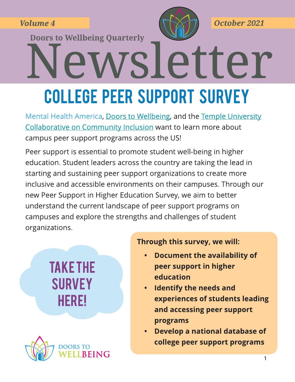**Volume 4** 

**Doors to Wellbeing Quarterly** 



October 2021

# wsletter **COLLEGE PEER SUPPORT SURVEY**

Mental Health America, Doors to Wellbeing, and the Temple University Collaborative on Community Inclusion want to learn more about campus peer support programs across the US!

Peer support is essential to promote student well-being in higher education. Student leaders across the country are taking the lead in starting and sustaining peer support organizations to create more inclusive and accessible environments on their campuses. Through our new Peer Support in Higher Education Survey, we aim to better understand the current landscape of peer support programs on campuses and explore the strengths and challenges of student organizations.

# **TAKE THE SURVEY HERE!**



#### Through this survey, we will:

- **Document the availability of** peer support in higher education
- **Identify the needs and** experiences of students leading and accessing peer support programs
- Develop a national database of college peer support programs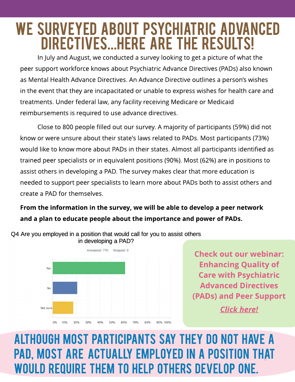## WE SURVEYED ABOUT PSYCHIATRIC ADVANCED DIRECTIVES...HERE ARE THE RESULTS!

In July and August, we conducted a survey looking to get a picture of what the peer support workforce knows about Psychiatric Advance Directives (PADs) also known as Mental Health Advance Directives. An Advance Directive outlines a person's wishes in the event that they are incapacitated or unable to express wishes for health care and treatments. Under federal law, any facility receiving Medicare or Medicaid reimbursements is required to use advance directives.

Close to 800 people filled out our survey. A majority of participants (59%) did not know or were unsure about their state's laws related to PADs. Most participants (73%) would like to know more about PADs in their states. Almost all participants identified as trained peer specialists or in equivalent positions (90%). Most (62%) are in positions to assist others in developing a PAD. The survey makes clear that more education is needed to support peer specialists to learn more about PADs both to assist others and create a PAD for themselves.

#### From the information in the survey, we will be able to develop a peer network and a plan to educate people about the importance and power of PADs.



O4 Are you employed in a position that would call for you to assist others in developing a PAD?

> Check out our webinar: **Enhancing Quality of Care with Psychiatric Advanced Directives** (PADs) and Peer Support **Click here!**

## PAD, MOST ARE ACTUALLY EMPLOYED IN A POSITION THAT ALTHOUGH MOST PARTICIPANTS SAY THEY DO NOT HAVE A WOULD REQUIRE THEM TO HELP OTHERS DEVELOP ONE.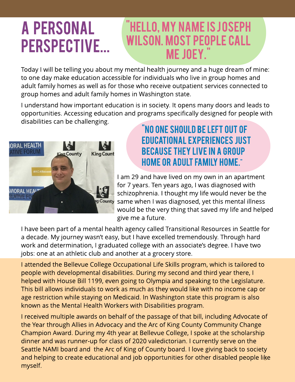# A PERSONAL PERSPECTIVE...

## "HELLO, MY NAME IS JOSEPH WILSON. MOST PEOPLE CALL ME JOEY."

Today I will be telling you about my mental health journey and a huge dream of mine: to one day make education accessible for individuals who live in group homes and adult family homes as well as for those who receive outpatient services connected to group homes and adult family homes in Washington state.

I understand how important education is in society. It opens many doors and leads to opportunities. Accessing education and programs specifically designed for people with disabilities can be challenging.



#### "NO ONE SHOULD BE LEFT OUT OF EDUCATIONAL EXPERIENCES JUST **BECAUSE THEY LIVE IN A GROUP** homeor adult family home."

I am 29 and have lived on my own in an apartment for 7 years. Ten years ago, I was diagnosed with schizophrenia. I thought my life would never be the same when I was diagnosed, yet this mental illness would be the very thing that saved my life and helped give me a future.

I have been part of a mental health agency called Transitional Resources in Seattle for a decade. My journey wasn't easy, but I have excelled tremendously. Through hard work and determination, I graduated college with an associate's degree. I have two jobs: one at an athletic club and another at a grocery store.

I attended the Bellevue College Occupational Life Skills program, which is tailored to people with developmental disabilities. During my second and third year there, I helped with House Bill 1199, even going to Olympia and speaking to the Legislature. This bill allows individuals to work as much as they would like with no income cap or age restriction while staying on Medicaid. In Washington state this program is also known as the Mental Health Workers with Disabilities program.

and helping to create educational and job opportunities for other disabled people like I received multiple awards on behalf of the passage of that bill, including Advocate of the Year through Allies in Advocacy and the Arc of King County Community Change Champion Award. During my 4th year at Bellevue College, I spoke at the scholarship dinner and was runner-up for class of 2020 valedictorian. I currently serve on the Seattle NAMI board and the Arc of King of County board. I love giving back to society myself.